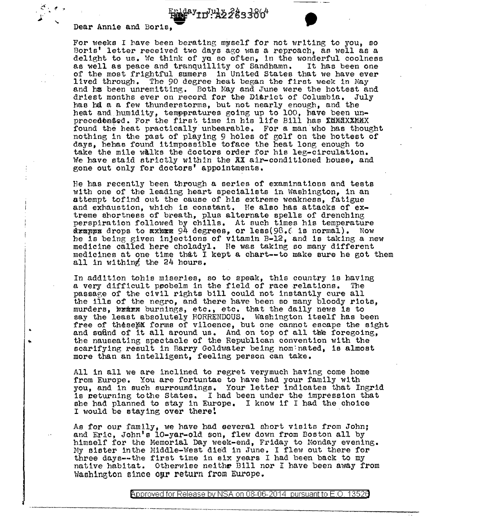..

Epiday<sub>ID</sub>July2<sup>2</sup>83386<sup>4</sup><br>Dear Annie and Boris, experience of the seed berating myself for not writing to you, so Boris' letter received two days ago was a reproach, as well as a delight to us. We think of ya so often, in the wonderful coolness as well as peace and tranquillity of Sandhamn. It has been one as well as peace and tranquillity of Sandhamn. of the most frightful sumers in United States that we have ever 11ved through. The 90 degree heat began the first week in May and ha been unremitting. Both May and June were the hottest and driest months ever on record for the Disrict of Columbia. July has bd a a few thunderstorms, but not nearly enough, and the heat and. humidity, temppratures going up to 100, have been unprecedended. For the first time in his life Bill has KNNAXXMMX found the heat practically unbearable. For a man who has thought nothing in the past of playing 9 holes of golf on the hottest of days, hehas found itimpossible toface the heat long enough to take the mile walks the doctors order for his leg-circulation. We have staid strictly within the AX air-conditioned house, and gone out only for doctors' appointments.

 $\mu_{\rm 2}^{\rm 2}$  and  $\mu_{\rm 2}^{\rm 2}$  and  $\mu_{\rm 2}^{\rm 2}$ 

He has recently been through a series of examinations and tests with one of the leading heart specialists in Washington, in an attempt tofind out the cause of his extreme weakness, fatigue and exhaustion, which is constant. He also has attacks of extreme shortness of breath, plus alternate spells of drenching perspiration followed by chills. At such times his temperature drapps drops to aximes 94 degrees, or less(98.6 is normal). Now he is being given injections of vitamin B-12, and la taking a new medicine called here choladyl. He was taking so many different medicines at one time that I kept a chart--to make sure he got them all ln withing the 24 hours.

In addition tohis miseries, so to speak, this country is having<br>a verv difficult probelm in the field of race relations. The a very difficult probelm in the field of race relations. passar,e of the c1v11 rights bill could not instantly cure all the ills of the negro, and there have been so many bloody riots, murders, krim burnings, etc., etc. that the daily news is to say the least absolutely HORRENDOUS. Washington itself has been free of theseMM forms of viloence, but one cannot escape the sight and suftnd of it all around us. And on top of all the foregoing, the nauseating spectacle of the Republican convention with the scarifying result in Barry Goldwater being nomenated, is almost more than an intelligent, feeling person can take.

All in all we are inclined to regret verymuch having come home from Europe. You are fortuntae to have had your family with you, and in such surroumdings. Your letter indicates that Ingrid is returning tothe States. I had been under the impression that she had planned to stay in Europe. I know if I had the choice I would be staying over there!

Ae for our family, we have had several short visits from John; and Eric, John's 10-yar-old son, flew down from Boston all by himself for the Memorial Day week-end, Friday to Monday evening. My sister inthe Middle-West died in June. I flew out there for three days--the first time in six years I had been back to my native habitat. Otherwise neithe Bill nor I have been away from Washington since our return from Europe.

> @'pproved for Release by NSA on 08-06-2014 pursuantto E.O. 1352a -·- ,\_\_\_ \_\_\_\_\_\_\_\_\_\_\_\_\_ ..,.\_.,. \_\_\_\_\_\_ \_